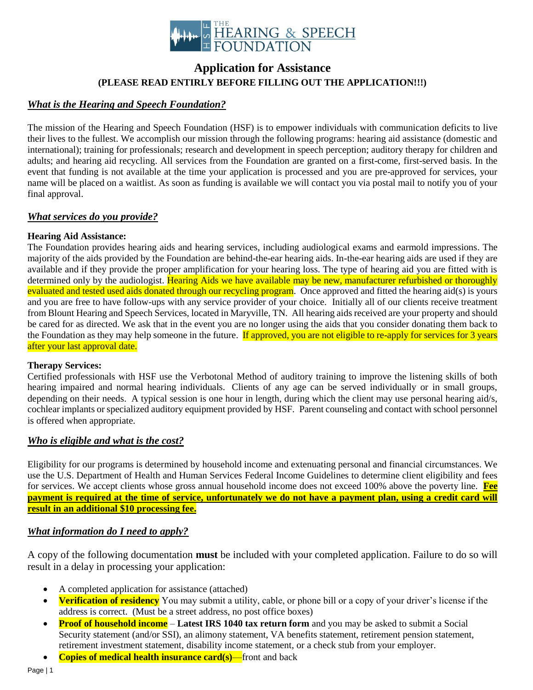

# **Application for Assistance (PLEASE READ ENTIRLY BEFORE FILLING OUT THE APPLICATION!!!)**

### *What is the Hearing and Speech Foundation?*

The mission of the Hearing and Speech Foundation (HSF) is to empower individuals with communication deficits to live their lives to the fullest. We accomplish our mission through the following programs: hearing aid assistance (domestic and international); training for professionals; research and development in speech perception; auditory therapy for children and adults; and hearing aid recycling. All services from the Foundation are granted on a first-come, first-served basis. In the event that funding is not available at the time your application is processed and you are pre-approved for services, your name will be placed on a waitlist. As soon as funding is available we will contact you via postal mail to notify you of your final approval.

### *What services do you provide?*

### **Hearing Aid Assistance:**

The Foundation provides hearing aids and hearing services, including audiological exams and earmold impressions. The majority of the aids provided by the Foundation are behind-the-ear hearing aids. In-the-ear hearing aids are used if they are available and if they provide the proper amplification for your hearing loss. The type of hearing aid you are fitted with is determined only by the audiologist. Hearing Aids we have available may be new, manufacturer refurbished or thoroughly evaluated and tested used aids donated through our recycling program. Once approved and fitted the hearing aid(s) is yours and you are free to have follow-ups with any service provider of your choice. Initially all of our clients receive treatment from Blount Hearing and Speech Services, located in Maryville, TN. All hearing aids received are your property and should be cared for as directed. We ask that in the event you are no longer using the aids that you consider donating them back to the Foundation as they may help someone in the future. If approved, you are not eligible to re-apply for services for 3 years after your last approval date.

### **Therapy Services:**

Certified professionals with HSF use the Verbotonal Method of auditory training to improve the listening skills of both hearing impaired and normal hearing individuals. Clients of any age can be served individually or in small groups, depending on their needs. A typical session is one hour in length, during which the client may use personal hearing aid/s, cochlear implants or specialized auditory equipment provided by HSF. Parent counseling and contact with school personnel is offered when appropriate.

### *Who is eligible and what is the cost?*

Eligibility for our programs is determined by household income and extenuating personal and financial circumstances. We use the U.S. Department of Health and Human Services [Federal Income Guidelines](http://www.hsfweb.org/images/stories/2010_poverty_guidelines.pdf) to determine client eligibility and fees for services. We accept clients whose gross annual household income does not exceed 100% above the poverty line. **Fee payment is required at the time of service, unfortunately we do not have a payment plan, using a credit card will result in an additional \$10 processing fee.**

### *What information do I need to apply?*

A copy of the following documentation **must** be included with your completed application. Failure to do so will result in a delay in processing your application:

- A completed application for assistance (attached)
- **Verification of residency** You may submit a utility, cable, or phone bill or a copy of your driver's license if the address is correct. (Must be a street address, no post office boxes)
- **Proof of household income Latest IRS 1040 tax return form** and you may be asked to submit a Social Security statement (and/or SSI), an alimony statement, VA benefits statement, retirement pension statement, retirement investment statement, disability income statement, or a check stub from your employer.
- **Copies of medical health insurance card(s)**—front and back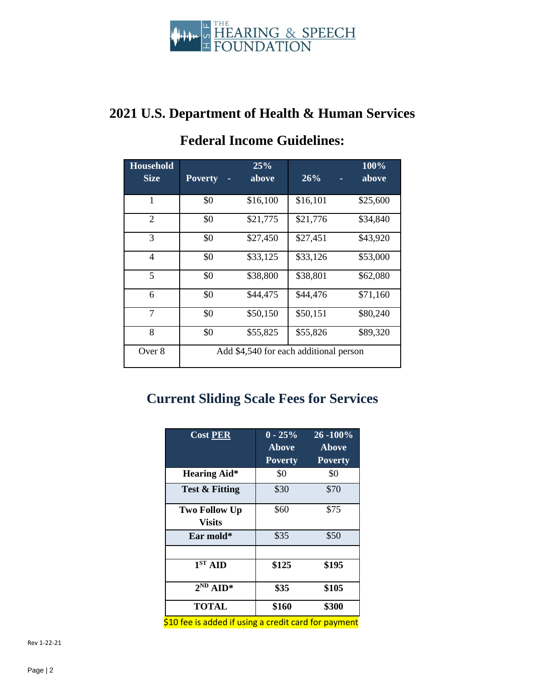

# **2021 U.S. Department of Health & Human Services**

| <b>Household</b> |                | 25%      |                                        | 100%     |
|------------------|----------------|----------|----------------------------------------|----------|
| <b>Size</b>      | <b>Poverty</b> | above    | 26%                                    | above    |
| 1                | \$0            | \$16,100 | \$16,101                               | \$25,600 |
| 2                | \$0            | \$21,775 | \$21,776                               | \$34,840 |
| 3                | \$0            | \$27,450 | \$27,451                               | \$43,920 |
| 4                | \$0            | \$33,125 | \$33,126                               | \$53,000 |
| 5                | \$0            | \$38,800 | \$38,801                               | \$62,080 |
| 6                | \$0            | \$44,475 | \$44,476                               | \$71,160 |
| 7                | \$0            | \$50,150 | \$50,151                               | \$80,240 |
| 8                | \$0            | \$55,825 | \$55,826                               | \$89,320 |
| Over 8           |                |          | Add \$4,540 for each additional person |          |

# **Federal Income Guidelines:**

# **Current Sliding Scale Fees for Services**

| <b>Cost PER</b>                                                                                                                                                                                                                      | $0 - 25%$<br><b>Above</b><br><b>Poverty</b> | 26 - 100%<br><b>Above</b><br><b>Poverty</b> |
|--------------------------------------------------------------------------------------------------------------------------------------------------------------------------------------------------------------------------------------|---------------------------------------------|---------------------------------------------|
| <b>Hearing Aid*</b>                                                                                                                                                                                                                  | \$0                                         | \$0                                         |
| <b>Test &amp; Fitting</b>                                                                                                                                                                                                            | \$30                                        | \$70                                        |
| <b>Two Follow Up</b><br>Visits                                                                                                                                                                                                       | \$60                                        | \$75                                        |
| Ear mold*                                                                                                                                                                                                                            | \$35                                        | \$50                                        |
|                                                                                                                                                                                                                                      |                                             |                                             |
| $\overline{1}$ <sup>ST</sup> AID                                                                                                                                                                                                     | \$125                                       | \$195                                       |
| $2^{ND}$ AID*                                                                                                                                                                                                                        | \$35                                        | \$105                                       |
| <b>TOTAL</b>                                                                                                                                                                                                                         | \$160                                       | \$300                                       |
| <u>in the contract of the contract of the contract of the contract of the contract of the contract of the contract of the contract of the contract of the contract of the contract of the contract of the contract of the contra</u> |                                             |                                             |

\$10 fee is added if using a credit card for payment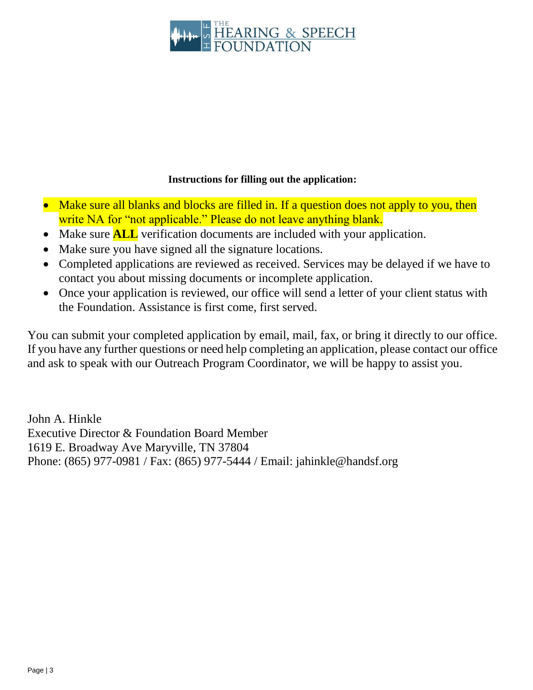

## **Instructions for filling out the application:**

- Make sure all blanks and blocks are filled in. If a question does not apply to you, then write NA for "not applicable." Please do not leave anything blank.
- Make sure **ALL** verification documents are included with your application.
- Make sure you have signed all the signature locations.
- Completed applications are reviewed as received. Services may be delayed if we have to contact you about missing documents or incomplete application.
- Once your application is reviewed, our office will send a letter of your client status with the Foundation. Assistance is first come, first served.

You can submit your completed application by email, mail, fax, or bring it directly to our office. If you have any further questions or need help completing an application, please contact our office and ask to speak with our Outreach Program Coordinator, we will be happy to assist you.

John A. Hinkle Executive Director & Foundation Board Member 1619 E. Broadway Ave Maryville, TN 37804 Phone: (865) 977-0981 / Fax: (865) 977-5444 / Email: jahinkle@handsf.org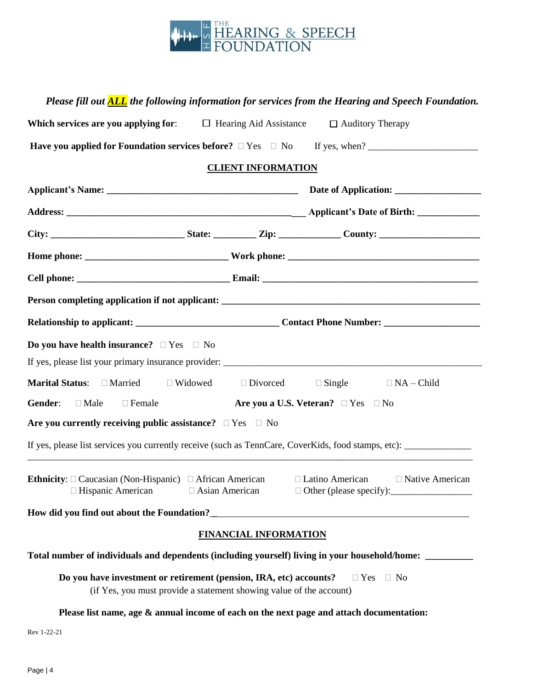

### *Please fill out ALL the following information for services from the Hearing and Speech Foundation.*

| Which services are you applying for:                                | $\Box$ Hearing Aid Assistance                                       | $\Box$ Auditory Therapy                                                                                                  |
|---------------------------------------------------------------------|---------------------------------------------------------------------|--------------------------------------------------------------------------------------------------------------------------|
|                                                                     |                                                                     | Have you applied for Foundation services before? $\Box$ Yes $\Box$ No If yes, when?                                      |
|                                                                     | <b>CLIENT INFORMATION</b>                                           |                                                                                                                          |
|                                                                     |                                                                     |                                                                                                                          |
|                                                                     |                                                                     |                                                                                                                          |
|                                                                     |                                                                     |                                                                                                                          |
|                                                                     |                                                                     |                                                                                                                          |
|                                                                     |                                                                     |                                                                                                                          |
|                                                                     |                                                                     |                                                                                                                          |
|                                                                     |                                                                     |                                                                                                                          |
| <b>Do you have health insurance?</b> $\Box$ Yes $\Box$ No           |                                                                     |                                                                                                                          |
|                                                                     |                                                                     |                                                                                                                          |
| <b>Marital Status:</b> □ Married □ Widowed □ Divorced               |                                                                     | $\Box$ Single $\Box$ NA – Child                                                                                          |
| Gender: □ Male<br>$\Box$ Female                                     |                                                                     | Are you a U.S. Veteran? $\Box$ Yes $\Box$ No                                                                             |
| Are you currently receiving public assistance? $\Box$ Yes $\Box$ No |                                                                     |                                                                                                                          |
|                                                                     |                                                                     |                                                                                                                          |
| $\Box$ Hispanic American $\Box$ Asian American                      |                                                                     | <b>Ethnicity</b> : $\Box$ Caucasian (Non-Hispanic) $\Box$ African American $\Box$ Latino American $\Box$ Native American |
|                                                                     |                                                                     |                                                                                                                          |
|                                                                     | <b>FINANCIAL INFORMATION</b>                                        |                                                                                                                          |
|                                                                     |                                                                     | Total number of individuals and dependents (including yourself) living in your household/home:                           |
| Do you have investment or retirement (pension, IRA, etc) accounts?  | (if Yes, you must provide a statement showing value of the account) | $\Box$ Yes $\Box$ No                                                                                                     |

**Please list name, age & annual income of each on the next page and attach documentation:**

Rev 1-22-21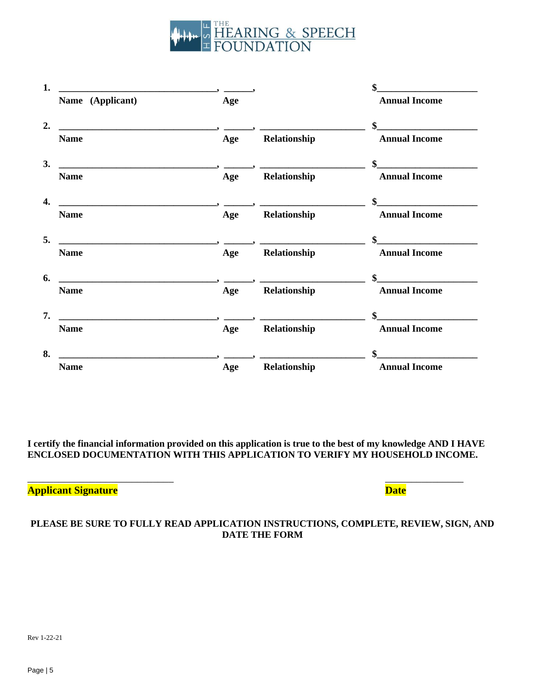

| 1.                                                                                                                                                                                                                                                                                                                                                                                                                                                                              |     |                                                      | \$                   |
|---------------------------------------------------------------------------------------------------------------------------------------------------------------------------------------------------------------------------------------------------------------------------------------------------------------------------------------------------------------------------------------------------------------------------------------------------------------------------------|-----|------------------------------------------------------|----------------------|
| Name (Applicant)                                                                                                                                                                                                                                                                                                                                                                                                                                                                | Age |                                                      | <b>Annual Income</b> |
| $\overline{\phantom{a}}$ , and the contract of the contract of $\overline{\phantom{a}}$ , and $\overline{\phantom{a}}$                                                                                                                                                                                                                                                                                                                                                          |     |                                                      | $\sim$               |
| <b>Name</b>                                                                                                                                                                                                                                                                                                                                                                                                                                                                     | Age | Relationship                                         | <b>Annual Income</b> |
| $\overline{\phantom{a}}$ $\overline{\phantom{a}}$ $\overline{\phantom{a}}$ $\overline{\phantom{a}}$ $\overline{\phantom{a}}$ $\overline{\phantom{a}}$ $\overline{\phantom{a}}$ $\overline{\phantom{a}}$ $\overline{\phantom{a}}$ $\overline{\phantom{a}}$ $\overline{\phantom{a}}$ $\overline{\phantom{a}}$ $\overline{\phantom{a}}$ $\overline{\phantom{a}}$ $\overline{\phantom{a}}$ $\overline{\phantom{a}}$ $\overline{\phantom{a}}$ $\overline{\phantom{a}}$ $\overline{\$ |     |                                                      |                      |
| <b>Name</b>                                                                                                                                                                                                                                                                                                                                                                                                                                                                     | Age | <b>Relationship</b>                                  | <b>Annual Income</b> |
| <u> 1980 - Jan Samuel Barbara, margaret e populazion del control de la propia del control de la propia del control de la propia del control de la propia del control de la propia del control de la propia del control de la pro</u>                                                                                                                                                                                                                                            |     |                                                      | \$                   |
| <b>Name</b>                                                                                                                                                                                                                                                                                                                                                                                                                                                                     | Age | Relationship                                         | <b>Annual Income</b> |
|                                                                                                                                                                                                                                                                                                                                                                                                                                                                                 |     |                                                      | \$                   |
| <b>Name</b>                                                                                                                                                                                                                                                                                                                                                                                                                                                                     | Age | Relationship                                         | <b>Annual Income</b> |
|                                                                                                                                                                                                                                                                                                                                                                                                                                                                                 |     |                                                      | \$                   |
| <b>Name</b>                                                                                                                                                                                                                                                                                                                                                                                                                                                                     |     | Age Relationship                                     | <b>Annual Income</b> |
| $\overline{\phantom{a}}$ $\overline{\phantom{a}}$ $\overline{\phantom{a}}$ $\overline{\phantom{a}}$ $\overline{\phantom{a}}$ $\overline{\phantom{a}}$ $\overline{\phantom{a}}$ $\overline{\phantom{a}}$ $\overline{\phantom{a}}$ $\overline{\phantom{a}}$ $\overline{\phantom{a}}$ $\overline{\phantom{a}}$ $\overline{\phantom{a}}$ $\overline{\phantom{a}}$ $\overline{\phantom{a}}$ $\overline{\phantom{a}}$ $\overline{\phantom{a}}$ $\overline{\phantom{a}}$ $\overline{\$ |     | <u> 1990 - Jan Barat, politik e</u> ta eta eskualdea |                      |
| <b>Name</b>                                                                                                                                                                                                                                                                                                                                                                                                                                                                     |     | Age Relationship                                     | <b>Annual Income</b> |
| $\overbrace{\hspace{25mm}}^{3}$                                                                                                                                                                                                                                                                                                                                                                                                                                                 |     |                                                      |                      |
| <b>Name</b>                                                                                                                                                                                                                                                                                                                                                                                                                                                                     | Age | Relationship                                         | <b>Annual Income</b> |

**I certify the financial information provided on this application is true to the best of my knowledge AND I HAVE ENCLOSED DOCUMENTATION WITH THIS APPLICATION TO VERIFY MY HOUSEHOLD INCOME.**

 $\overline{\phantom{a}}$  , and the contract of the contract of the contract of the contract of the contract of the contract of the contract of the contract of the contract of the contract of the contract of the contract of the contrac

### **Applicant Signature Date**

### **PLEASE BE SURE TO FULLY READ APPLICATION INSTRUCTIONS, COMPLETE, REVIEW, SIGN, AND DATE THE FORM**